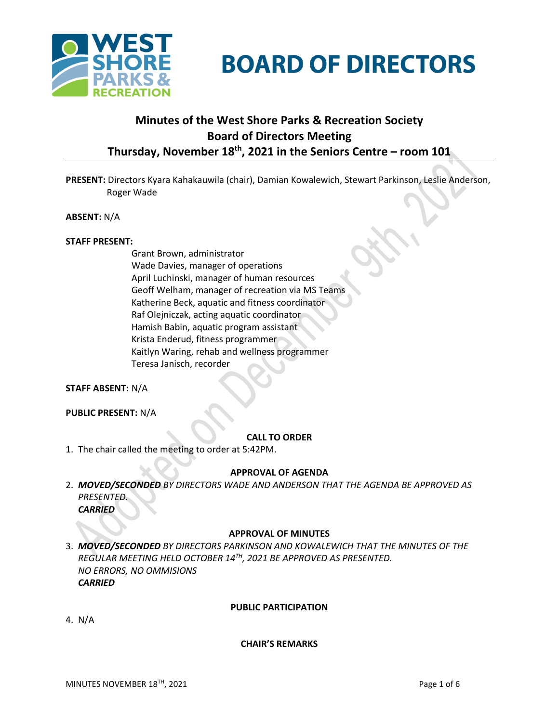

# **BOARD OF DIRECTORS**

# **Minutes of the West Shore Parks & Recreation Society Board of Directors Meeting Thursday, November 18th , 2021 in the Seniors Centre – room 101**

**PRESENT:** Directors Kyara Kahakauwila (chair), Damian Kowalewich, Stewart Parkinson, Leslie Anderson, Roger Wade

**ABSENT:** N/A

#### **STAFF PRESENT:**

Grant Brown, administrator Wade Davies, manager of operations April Luchinski, manager of human resources Geoff Welham, manager of recreation via MS Teams Katherine Beck, aquatic and fitness coordinator Raf Olejniczak, acting aquatic coordinator Hamish Babin, aquatic program assistant Krista Enderud, fitness programmer Kaitlyn Waring, rehab and wellness programmer Teresa Janisch, recorder

#### **STAFF ABSENT:** N/A

**PUBLIC PRESENT:** N/A

#### **CALL TO ORDER**

1. The chair called the meeting to order at 5:42PM.

#### **APPROVAL OF AGENDA**

2. *MOVED/SECONDED BY DIRECTORS WADE AND ANDERSON THAT THE AGENDA BE APPROVED AS PRESENTED. CARRIED*

#### **APPROVAL OF MINUTES**

3. *MOVED/SECONDED BY DIRECTORS PARKINSON AND KOWALEWICH THAT THE MINUTES OF THE REGULAR MEETING HELD OCTOBER 14TH, 2021 BE APPROVED AS PRESENTED. NO ERRORS, NO OMMISIONS CARRIED*

#### **PUBLIC PARTICIPATION**

4. N/A

#### **CHAIR'S REMARKS**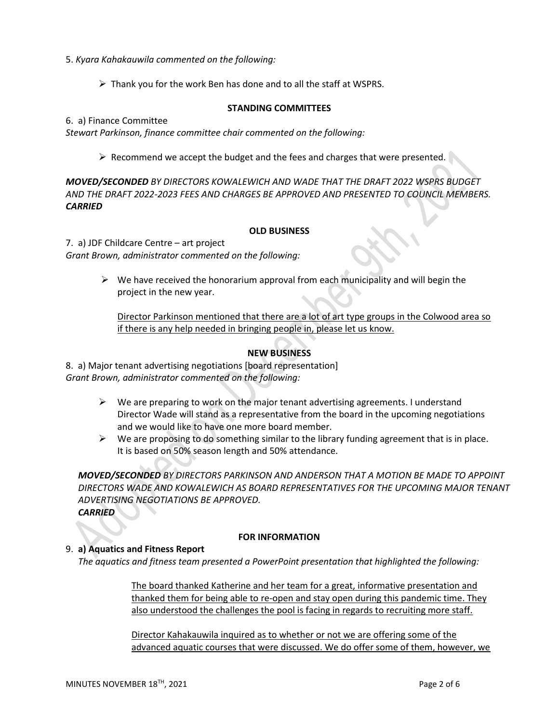- 5. *Kyara Kahakauwila commented on the following:*
	- ➢ Thank you for the work Ben has done and to all the staff at WSPRS.

#### **STANDING COMMITTEES**

6. a) Finance Committee

*Stewart Parkinson, finance committee chair commented on the following:*

 $\triangleright$  Recommend we accept the budget and the fees and charges that were presented.

*MOVED/SECONDED BY DIRECTORS KOWALEWICH AND WADE THAT THE DRAFT 2022 WSPRS BUDGET AND THE DRAFT 2022-2023 FEES AND CHARGES BE APPROVED AND PRESENTED TO COUNCIL MEMBERS. CARRIED* 

#### **OLD BUSINESS**

7. a) JDF Childcare Centre – art project *Grant Brown, administrator commented on the following:*

> $\triangleright$  We have received the honorarium approval from each municipality and will begin the project in the new year.

Director Parkinson mentioned that there are a lot of art type groups in the Colwood area so if there is any help needed in bringing people in, please let us know.

# **NEW BUSINESS**

8.a) Major tenant advertising negotiations [board representation] *Grant Brown, administrator commented on the following:*

- $\triangleright$  We are preparing to work on the major tenant advertising agreements. I understand Director Wade will stand as a representative from the board in the upcoming negotiations and we would like to have one more board member.
- $\triangleright$  We are proposing to do something similar to the library funding agreement that is in place. It is based on 50% season length and 50% attendance.

*MOVED/SECONDED BY DIRECTORS PARKINSON AND ANDERSON THAT A MOTION BE MADE TO APPOINT DIRECTORS WADE AND KOWALEWICH AS BOARD REPRESENTATIVES FOR THE UPCOMING MAJOR TENANT ADVERTISING NEGOTIATIONS BE APPROVED. CARRIED*

# **FOR INFORMATION**

# 9. **a) Aquatics and Fitness Report**

*The aquatics and fitness team presented a PowerPoint presentation that highlighted the following:*

The board thanked Katherine and her team for a great, informative presentation and thanked them for being able to re-open and stay open during this pandemic time. They also understood the challenges the pool is facing in regards to recruiting more staff.

Director Kahakauwila inquired as to whether or not we are offering some of the advanced aquatic courses that were discussed. We do offer some of them, however, we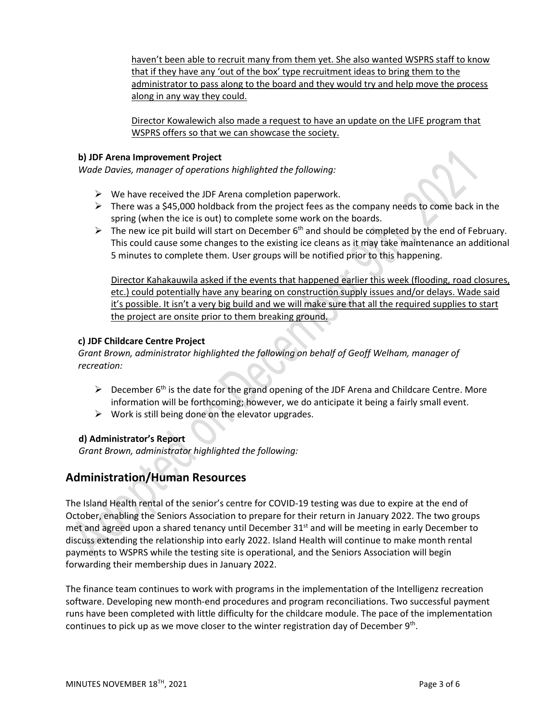haven't been able to recruit many from them yet. She also wanted WSPRS staff to know that if they have any 'out of the box' type recruitment ideas to bring them to the administrator to pass along to the board and they would try and help move the process along in any way they could.

Director Kowalewich also made a request to have an update on the LIFE program that WSPRS offers so that we can showcase the society.

#### **b) JDF Arena Improvement Project**

*Wade Davies, manager of operations highlighted the following:*

- $\triangleright$  We have received the JDF Arena completion paperwork.
- $\triangleright$  There was a \$45,000 holdback from the project fees as the company needs to come back in the spring (when the ice is out) to complete some work on the boards.
- $\triangleright$  The new ice pit build will start on December 6<sup>th</sup> and should be completed by the end of February. This could cause some changes to the existing ice cleans as it may take maintenance an additional 5 minutes to complete them. User groups will be notified prior to this happening.

Director Kahakauwila asked if the events that happened earlier this week (flooding, road closures, etc.) could potentially have any bearing on construction supply issues and/or delays. Wade said it's possible. It isn't a very big build and we will make sure that all the required supplies to start the project are onsite prior to them breaking ground.

# **c) JDF Childcare Centre Project**

*Grant Brown, administrator highlighted the following on behalf of Geoff Welham, manager of recreation:*

- $\triangleright$  December 6<sup>th</sup> is the date for the grand opening of the JDF Arena and Childcare Centre. More information will be forthcoming; however, we do anticipate it being a fairly small event.
- $\triangleright$  Work is still being done on the elevator upgrades.

# **d) Administrator's Report**

*Grant Brown, administrator highlighted the following:*

# **Administration/Human Resources**

The Island Health rental of the senior's centre for COVID-19 testing was due to expire at the end of October, enabling the Seniors Association to prepare for their return in January 2022. The two groups met and agreed upon a shared tenancy until December  $31<sup>st</sup>$  and will be meeting in early December to discuss extending the relationship into early 2022. Island Health will continue to make month rental payments to WSPRS while the testing site is operational, and the Seniors Association will begin forwarding their membership dues in January 2022.

The finance team continues to work with programs in the implementation of the Intelligenz recreation software. Developing new month-end procedures and program reconciliations. Two successful payment runs have been completed with little difficulty for the childcare module. The pace of the implementation continues to pick up as we move closer to the winter registration day of December 9<sup>th</sup>.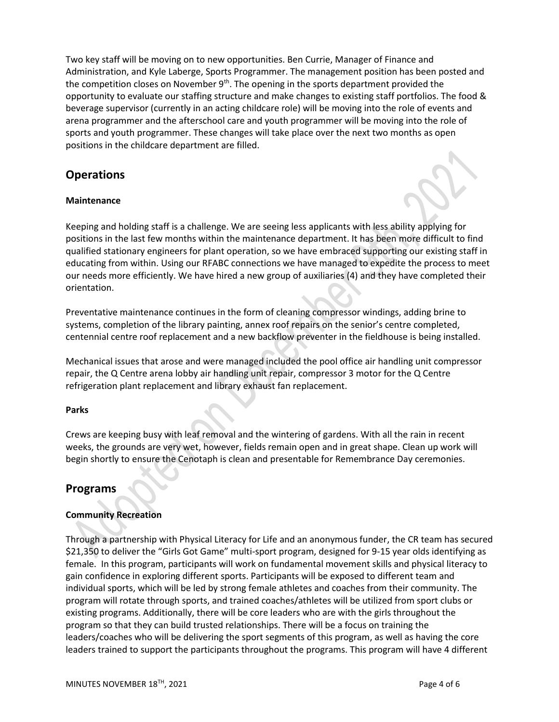Two key staff will be moving on to new opportunities. Ben Currie, Manager of Finance and Administration, and Kyle Laberge, Sports Programmer. The management position has been posted and the competition closes on November  $9<sup>th</sup>$ . The opening in the sports department provided the opportunity to evaluate our staffing structure and make changes to existing staff portfolios. The food & beverage supervisor (currently in an acting childcare role) will be moving into the role of events and arena programmer and the afterschool care and youth programmer will be moving into the role of sports and youth programmer. These changes will take place over the next two months as open positions in the childcare department are filled.

# **Operations**

# **Maintenance**

Keeping and holding staff is a challenge. We are seeing less applicants with less ability applying for positions in the last few months within the maintenance department. It has been more difficult to find qualified stationary engineers for plant operation, so we have embraced supporting our existing staff in educating from within. Using our RFABC connections we have managed to expedite the process to meet our needs more efficiently. We have hired a new group of auxiliaries (4) and they have completed their orientation.

Preventative maintenance continues in the form of cleaning compressor windings, adding brine to systems, completion of the library painting, annex roof repairs on the senior's centre completed, centennial centre roof replacement and a new backflow preventer in the fieldhouse is being installed.

Mechanical issues that arose and were managed included the pool office air handling unit compressor repair, the Q Centre arena lobby air handling unit repair, compressor 3 motor for the Q Centre refrigeration plant replacement and library exhaust fan replacement.

# **Parks**

Crews are keeping busy with leaf removal and the wintering of gardens. With all the rain in recent weeks, the grounds are very wet, however, fields remain open and in great shape. Clean up work will begin shortly to ensure the Cenotaph is clean and presentable for Remembrance Day ceremonies.

# **Programs**

# **Community Recreation**

Through a partnership with Physical Literacy for Life and an anonymous funder, the CR team has secured \$21,350 to deliver the "Girls Got Game" multi-sport program, designed for 9-15 year olds identifying as female. In this program, participants will work on fundamental movement skills and physical literacy to gain confidence in exploring different sports. Participants will be exposed to different team and individual sports, which will be led by strong female athletes and coaches from their community. The program will rotate through sports, and trained coaches/athletes will be utilized from sport clubs or existing programs. Additionally, there will be core leaders who are with the girls throughout the program so that they can build trusted relationships. There will be a focus on training the leaders/coaches who will be delivering the sport segments of this program, as well as having the core leaders trained to support the participants throughout the programs. This program will have 4 different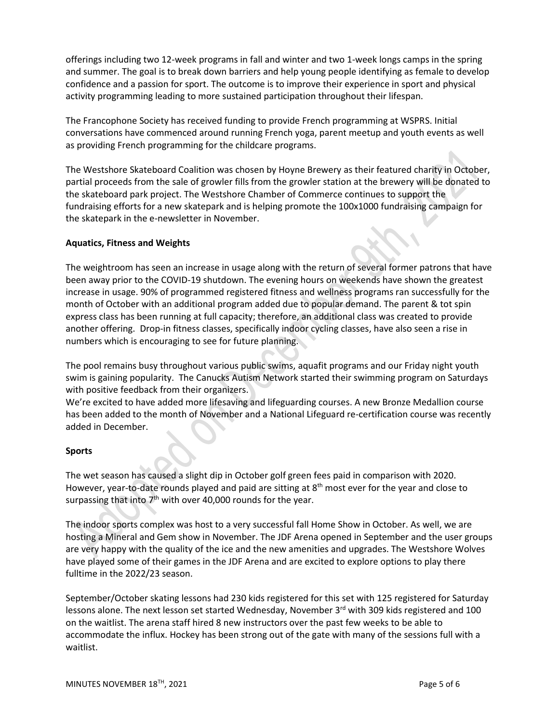offerings including two 12-week programs in fall and winter and two 1-week longs camps in the spring and summer. The goal is to break down barriers and help young people identifying as female to develop confidence and a passion for sport. The outcome is to improve their experience in sport and physical activity programming leading to more sustained participation throughout their lifespan.

The Francophone Society has received funding to provide French programming at WSPRS. Initial conversations have commenced around running French yoga, parent meetup and youth events as well as providing French programming for the childcare programs.

The Westshore Skateboard Coalition was chosen by Hoyne Brewery as their featured charity in October, partial proceeds from the sale of growler fills from the growler station at the brewery will be donated to the skateboard park project. The Westshore Chamber of Commerce continues to support the fundraising efforts for a new skatepark and is helping promote the 100x1000 fundraising campaign for the skatepark in the e-newsletter in November.

# **Aquatics, Fitness and Weights**

The weightroom has seen an increase in usage along with the return of several former patrons that have been away prior to the COVID-19 shutdown. The evening hours on weekends have shown the greatest increase in usage. 90% of programmed registered fitness and wellness programs ran successfully for the month of October with an additional program added due to popular demand. The parent & tot spin express class has been running at full capacity; therefore, an additional class was created to provide another offering. Drop-in fitness classes, specifically indoor cycling classes, have also seen a rise in numbers which is encouraging to see for future planning.

The pool remains busy throughout various public swims, aquafit programs and our Friday night youth swim is gaining popularity. The Canucks Autism Network started their swimming program on Saturdays with positive feedback from their organizers.

We're excited to have added more lifesaving and lifeguarding courses. A new Bronze Medallion course has been added to the month of November and a National Lifeguard re-certification course was recently added in December.

# **Sports**

The wet season has caused a slight dip in October golf green fees paid in comparison with 2020. However, year-to-date rounds played and paid are sitting at 8<sup>th</sup> most ever for the year and close to surpassing that into  $7<sup>th</sup>$  with over 40,000 rounds for the year.

The indoor sports complex was host to a very successful fall Home Show in October. As well, we are hosting a Mineral and Gem show in November. The JDF Arena opened in September and the user groups are very happy with the quality of the ice and the new amenities and upgrades. The Westshore Wolves have played some of their games in the JDF Arena and are excited to explore options to play there fulltime in the 2022/23 season.

September/October skating lessons had 230 kids registered for this set with 125 registered for Saturday lessons alone. The next lesson set started Wednesday, November  $3<sup>rd</sup>$  with 309 kids registered and 100 on the waitlist. The arena staff hired 8 new instructors over the past few weeks to be able to accommodate the influx. Hockey has been strong out of the gate with many of the sessions full with a waitlist.